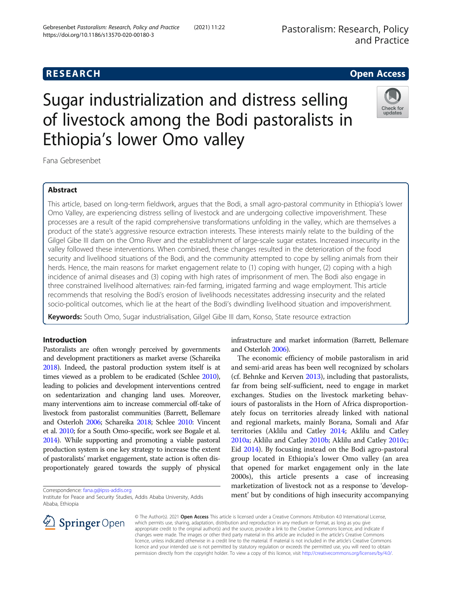# Sugar industrialization and distress selling of livestock among the Bodi pastoralists in Ethiopia's lower Omo valley

Fana Gebresenbet

# Abstract

This article, based on long-term fieldwork, argues that the Bodi, a small agro-pastoral community in Ethiopia's lower Omo Valley, are experiencing distress selling of livestock and are undergoing collective impoverishment. These processes are a result of the rapid comprehensive transformations unfolding in the valley, which are themselves a product of the state's aggressive resource extraction interests. These interests mainly relate to the building of the Gilgel Gibe III dam on the Omo River and the establishment of large-scale sugar estates. Increased insecurity in the valley followed these interventions. When combined, these changes resulted in the deterioration of the food security and livelihood situations of the Bodi, and the community attempted to cope by selling animals from their herds. Hence, the main reasons for market engagement relate to (1) coping with hunger, (2) coping with a high incidence of animal diseases and (3) coping with high rates of imprisonment of men. The Bodi also engage in three constrained livelihood alternatives: rain-fed farming, irrigated farming and wage employment. This article recommends that resolving the Bodi's erosion of livelihoods necessitates addressing insecurity and the related socio-political outcomes, which lie at the heart of the Bodi's dwindling livelihood situation and impoverishment.

Keywords: South Omo, Sugar industrialisation, Gilgel Gibe III dam, Konso, State resource extraction

# Introduction

Pastoralists are often wrongly perceived by governments and development practitioners as market averse (Schareika [2018\)](#page-10-0). Indeed, the pastoral production system itself is at times viewed as a problem to be eradicated (Schlee [2010](#page-10-0)), leading to policies and development interventions centred on sedentarization and changing land uses. Moreover, many interventions aim to increase commercial off-take of livestock from pastoralist communities (Barrett, Bellemare and Osterloh [2006;](#page-9-0) Schareika [2018](#page-10-0); Schlee [2010](#page-10-0): Vincent et al. [2010;](#page-10-0) for a South Omo-specific, work see Bogale et al. [2014\)](#page-10-0). While supporting and promoting a viable pastoral production system is one key strategy to increase the extent of pastoralists' market engagement, state action is often disproportionately geared towards the supply of physical

Correspondence: [fana.g@ipss-addis.org](mailto:fana.g@ipss-addis.org)

Institute for Peace and Security Studies, Addis Ababa University, Addis Ababa, Ethiopia

© The Author(s). 2021 Open Access This article is licensed under a Creative Commons Attribution 4.0 International License, which permits use, sharing, adaptation, distribution and reproduction in any medium or format, as long as you give appropriate credit to the original author(s) and the source, provide a link to the Creative Commons licence, and indicate if changes were made. The images or other third party material in this article are included in the article's Creative Commons licence, unless indicated otherwise in a credit line to the material. If material is not included in the article's Creative Commons licence and your intended use is not permitted by statutory regulation or exceeds the permitted use, you will need to obtain permission directly from the copyright holder. To view a copy of this licence, visit <http://creativecommons.org/licenses/by/4.0/>.

infrastructure and market information (Barrett, Bellemare and Osterloh [2006\)](#page-9-0).

The economic efficiency of mobile pastoralism in arid and semi-arid areas has been well recognized by scholars (cf. Behnke and Kerven [2013\)](#page-10-0), including that pastoralists, far from being self-sufficient, need to engage in market exchanges. Studies on the livestock marketing behaviours of pastoralists in the Horn of Africa disproportionately focus on territories already linked with national and regional markets, mainly Borana, Somali and Afar territories (Aklilu and Catley [2014;](#page-9-0) Aklilu and Catley [2010a;](#page-9-0) Aklilu and Catley [2010b;](#page-9-0) Aklilu and Catley [2010c](#page-9-0); Eid [2014\)](#page-10-0). By focusing instead on the Bodi agro-pastoral group located in Ethiopia's lower Omo valley (an area that opened for market engagement only in the late 2000s), this article presents a case of increasing marketization of livestock not as a response to 'development' but by conditions of high insecurity accompanying



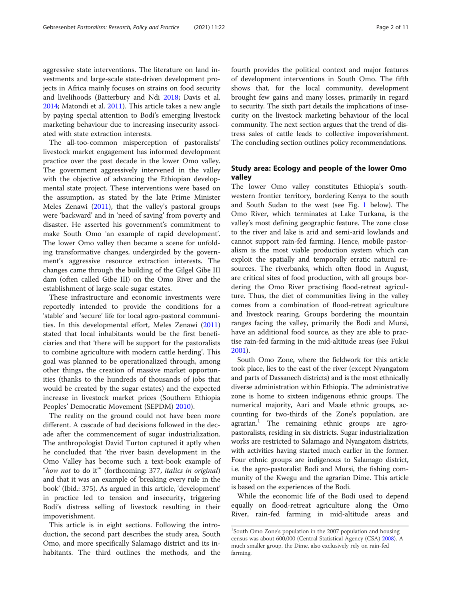aggressive state interventions. The literature on land investments and large-scale state-driven development projects in Africa mainly focuses on strains on food security and livelihoods (Batterbury and Ndi [2018](#page-10-0); Davis et al. [2014](#page-10-0); Matondi et al. [2011](#page-10-0)). This article takes a new angle by paying special attention to Bodi's emerging livestock marketing behaviour due to increasing insecurity associated with state extraction interests.

The all-too-common misperception of pastoralists' livestock market engagement has informed development practice over the past decade in the lower Omo valley. The government aggressively intervened in the valley with the objective of advancing the Ethiopian developmental state project. These interventions were based on the assumption, as stated by the late Prime Minister Meles Zenawi ([2011](#page-10-0)), that the valley's pastoral groups were 'backward' and in 'need of saving' from poverty and disaster. He asserted his government's commitment to make South Omo 'an example of rapid development'. The lower Omo valley then became a scene for unfolding transformative changes, undergirded by the government's aggressive resource extraction interests. The changes came through the building of the Gilgel Gibe III dam (often called Gibe III) on the Omo River and the establishment of large-scale sugar estates.

These infrastructure and economic investments were reportedly intended to provide the conditions for a 'stable' and 'secure' life for local agro-pastoral communities. In this developmental effort, Meles Zenawi ([2011](#page-10-0)) stated that local inhabitants would be the first beneficiaries and that 'there will be support for the pastoralists to combine agriculture with modern cattle herding'. This goal was planned to be operationalized through, among other things, the creation of massive market opportunities (thanks to the hundreds of thousands of jobs that would be created by the sugar estates) and the expected increase in livestock market prices (Southern Ethiopia Peoples' Democratic Movement (SEPDM) [2010](#page-10-0)).

The reality on the ground could not have been more different. A cascade of bad decisions followed in the decade after the commencement of sugar industrialization. The anthropologist David Turton captured it aptly when he concluded that 'the river basin development in the Omo Valley has become such a text-book example of "how not to do it"" (forthcoming: 377, italics in original) and that it was an example of 'breaking every rule in the book' (Ibid.: 375). As argued in this article, 'development' in practice led to tension and insecurity, triggering Bodi's distress selling of livestock resulting in their impoverishment.

This article is in eight sections. Following the introduction, the second part describes the study area, South Omo, and more specifically Salamago district and its inhabitants. The third outlines the methods, and the fourth provides the political context and major features of development interventions in South Omo. The fifth shows that, for the local community, development brought few gains and many losses, primarily in regard to security. The sixth part details the implications of insecurity on the livestock marketing behaviour of the local community. The next section argues that the trend of distress sales of cattle leads to collective impoverishment. The concluding section outlines policy recommendations.

# Study area: Ecology and people of the lower Omo valley

The lower Omo valley constitutes Ethiopia's southwestern frontier territory, bordering Kenya to the south and South Sudan to the west (see Fig. [1](#page-2-0) below). The Omo River, which terminates at Lake Turkana, is the valley's most defining geographic feature. The zone close to the river and lake is arid and semi-arid lowlands and cannot support rain-fed farming. Hence, mobile pastoralism is the most viable production system which can exploit the spatially and temporally erratic natural resources. The riverbanks, which often flood in August, are critical sites of food production, with all groups bordering the Omo River practising flood-retreat agriculture. Thus, the diet of communities living in the valley comes from a combination of flood-retreat agriculture and livestock rearing. Groups bordering the mountain ranges facing the valley, primarily the Bodi and Mursi, have an additional food source, as they are able to practise rain-fed farming in the mid-altitude areas (see Fukui [2001](#page-10-0)).

South Omo Zone, where the fieldwork for this article took place, lies to the east of the river (except Nyangatom and parts of Dassanech districts) and is the most ethnically diverse administration within Ethiopia. The administrative zone is home to sixteen indigenous ethnic groups. The numerical majority, Aari and Maale ethnic groups, accounting for two-thirds of the Zone's population, are agrarian.<sup>1</sup> The remaining ethnic groups are agropastoralists, residing in six districts. Sugar industrialization works are restricted to Salamago and Nyangatom districts, with activities having started much earlier in the former. Four ethnic groups are indigenous to Salamago district, i.e. the agro-pastoralist Bodi and Mursi, the fishing community of the Kwegu and the agrarian Dime. This article is based on the experiences of the Bodi.

While the economic life of the Bodi used to depend equally on flood-retreat agriculture along the Omo River, rain-fed farming in mid-altitude areas and

<sup>&</sup>lt;sup>1</sup>South Omo Zone's population in the 2007 population and housing census was about 600,000 (Central Statistical Agency (CSA) [2008](#page-10-0)). A much smaller group, the Dime, also exclusively rely on rain-fed farming.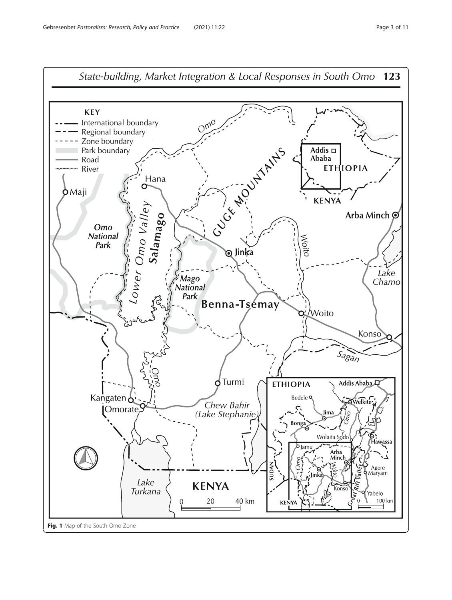<span id="page-2-0"></span>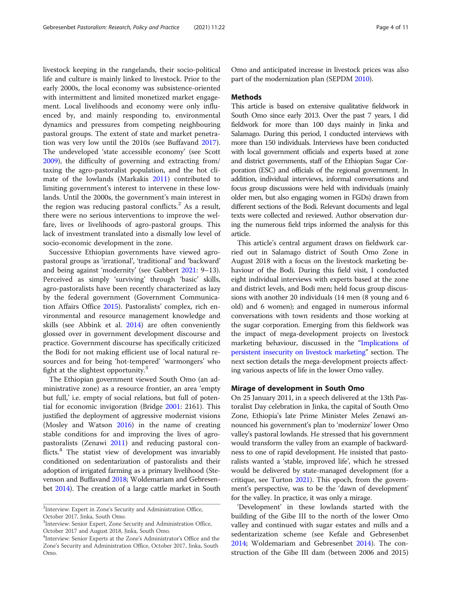livestock keeping in the rangelands, their socio-political life and culture is mainly linked to livestock. Prior to the early 2000s, the local economy was subsistence-oriented with intermittent and limited monetized market engagement. Local livelihoods and economy were only influenced by, and mainly responding to, environmental dynamics and pressures from competing neighbouring pastoral groups. The extent of state and market penetration was very low until the 2010s (see Buffavand [2017](#page-10-0)). The undeveloped 'state accessible economy' (see Scott [2009](#page-10-0)), the difficulty of governing and extracting from/ taxing the agro-pastoralist population, and the hot climate of the lowlands (Markakis [2011\)](#page-10-0) contributed to limiting government's interest to intervene in these lowlands. Until the 2000s, the government's main interest in the region was reducing pastoral conflicts.<sup>2</sup> As a result, there were no serious interventions to improve the welfare, lives or livelihoods of agro-pastoral groups. This lack of investment translated into a dismally low level of socio-economic development in the zone.

Successive Ethiopian governments have viewed agropastoral groups as 'irrational', 'traditional' and 'backward' and being against 'modernity' (see Gabbert [2021:](#page-10-0) 9–13). Perceived as simply 'surviving' through 'basic' skills, agro-pastoralists have been recently characterized as lazy by the federal government (Government Communication Affairs Office [2015\)](#page-10-0). Pastoralists' complex, rich environmental and resource management knowledge and skills (see Abbink et al. [2014\)](#page-9-0) are often conveniently glossed over in government development discourse and practice. Government discourse has specifically criticized the Bodi for not making efficient use of local natural resources and for being 'hot-tempered' 'warmongers' who fight at the slightest opportunity. $3$ 

The Ethiopian government viewed South Omo (an administrative zone) as a resource frontier, an area 'empty but full,' i.e. empty of social relations, but full of potential for economic invigoration (Bridge [2001:](#page-10-0) 2161). This justified the deployment of aggressive modernist visions (Mosley and Watson [2016\)](#page-10-0) in the name of creating stable conditions for and improving the lives of agropastoralists (Zenawi [2011](#page-10-0)) and reducing pastoral conflicts.<sup>4</sup> The statist view of development was invariably conditioned on sedentarization of pastoralists and their adoption of irrigated farming as a primary livelihood (Stevenson and Buffavand [2018;](#page-10-0) Woldemariam and Gebresenbet [2014](#page-10-0)). The creation of a large cattle market in South Omo and anticipated increase in livestock prices was also part of the modernization plan (SEPDM [2010\)](#page-10-0).

### Methods

This article is based on extensive qualitative fieldwork in South Omo since early 2013. Over the past 7 years, I did fieldwork for more than 100 days mainly in Jinka and Salamago. During this period, I conducted interviews with more than 150 individuals. Interviews have been conducted with local government officials and experts based at zone and district governments, staff of the Ethiopian Sugar Corporation (ESC) and officials of the regional government. In addition, individual interviews, informal conversations and focus group discussions were held with individuals (mainly older men, but also engaging women in FGDs) drawn from different sections of the Bodi. Relevant documents and legal texts were collected and reviewed. Author observation during the numerous field trips informed the analysis for this article.

This article's central argument draws on fieldwork carried out in Salamago district of South Omo Zone in August 2018 with a focus on the livestock marketing behaviour of the Bodi. During this field visit, I conducted eight individual interviews with experts based at the zone and district levels, and Bodi men; held focus group discussions with another 20 individuals (14 men (8 young and 6 old) and 6 women); and engaged in numerous informal conversations with town residents and those working at the sugar corporation. Emerging from this fieldwork was the impact of mega-development projects on livestock marketing behaviour, discussed in the "[Implications of](#page-6-0) [persistent insecurity on livestock marketing](#page-6-0)" section. The next section details the mega-development projects affecting various aspects of life in the lower Omo valley.

# Mirage of development in South Omo

On 25 January 2011, in a speech delivered at the 13th Pastoralist Day celebration in Jinka, the capital of South Omo Zone, Ethiopia's late Prime Minister Meles Zenawi announced his government's plan to 'modernize' lower Omo valley's pastoral lowlands. He stressed that his government would transform the valley from an example of backwardness to one of rapid development. He insisted that pastoralists wanted a 'stable, improved life', which he stressed would be delivered by state-managed development (for a critique, see Turton [2021](#page-10-0)). This epoch, from the government's perspective, was to be the 'dawn of development' for the valley. In practice, it was only a mirage.

'Development' in these lowlands started with the building of the Gibe III to the north of the lower Omo valley and continued with sugar estates and mills and a sedentarization scheme (see Kefale and Gebresenbet [2014](#page-10-0); Woldemariam and Gebresenbet [2014](#page-10-0)). The construction of the Gibe III dam (between 2006 and 2015)

<sup>&</sup>lt;sup>2</sup>Interview: Expert in Zone's Security and Administration Office, October 2017, Jinka, South Omo.

<sup>&</sup>lt;sup>3</sup>Interview: Senior Expert, Zone Security and Administration Office, October 2017 and August 2018, Jinka, South Omo.

<sup>4</sup> Interview: Senior Experts at the Zone's Administrator's Office and the Zone's Security and Administration Office, October 2017, Jinka, South Omo.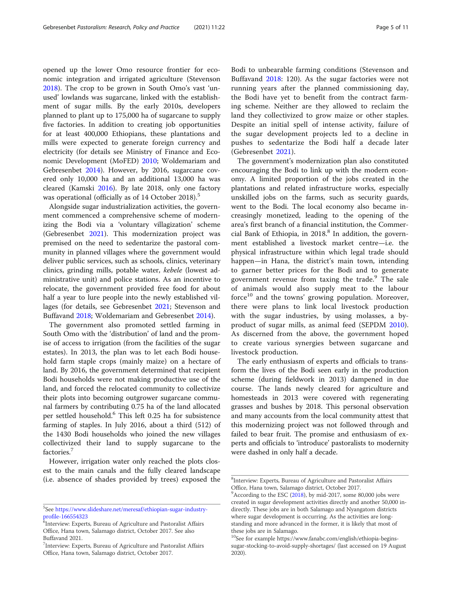opened up the lower Omo resource frontier for economic integration and irrigated agriculture (Stevenson [2018](#page-10-0)). The crop to be grown in South Omo's vast 'unused' lowlands was sugarcane, linked with the establishment of sugar mills. By the early 2010s, developers planned to plant up to 175,000 ha of sugarcane to supply five factories. In addition to creating job opportunities for at least 400,000 Ethiopians, these plantations and mills were expected to generate foreign currency and electricity (for details see Ministry of Finance and Economic Development (MoFED) [2010;](#page-10-0) Woldemariam and Gebresenbet [2014](#page-10-0)). However, by 2016, sugarcane covered only 10,000 ha and an additional 13,000 ha was cleared (Kamski [2016\)](#page-10-0). By late 2018, only one factory was operational (officially as of 14 October 2018).<sup>5</sup>

Alongside sugar industrialization activities, the government commenced a comprehensive scheme of modernizing the Bodi via a 'voluntary villagization' scheme (Gebresenbet [2021](#page-10-0)). This modernization project was premised on the need to sedentarize the pastoral community in planned villages where the government would deliver public services, such as schools, clinics, veterinary clinics, grinding mills, potable water, kebele (lowest administrative unit) and police stations. As an incentive to relocate, the government provided free food for about half a year to lure people into the newly established villages (for details, see Gebresenbet [2021;](#page-10-0) Stevenson and Buffavand [2018](#page-10-0); Woldemariam and Gebresenbet [2014](#page-10-0)).

The government also promoted settled farming in South Omo with the 'distribution' of land and the promise of access to irrigation (from the facilities of the sugar estates). In 2013, the plan was to let each Bodi household farm staple crops (mainly maize) on a hectare of land. By 2016, the government determined that recipient Bodi households were not making productive use of the land, and forced the relocated community to collectivize their plots into becoming outgrower sugarcane communal farmers by contributing 0.75 ha of the land allocated per settled household.<sup>6</sup> This left 0.25 ha for subsistence farming of staples. In July 2016, about a third (512) of the 1430 Bodi households who joined the new villages collectivized their land to supply sugarcane to the factories.<sup>7</sup>

However, irrigation water only reached the plots closest to the main canals and the fully cleared landscape (i.e. absence of shades provided by trees) exposed the

Bodi to unbearable farming conditions (Stevenson and Buffavand [2018:](#page-10-0) 120). As the sugar factories were not running years after the planned commissioning day, the Bodi have yet to benefit from the contract farming scheme. Neither are they allowed to reclaim the land they collectivized to grow maize or other staples. Despite an initial spell of intense activity, failure of the sugar development projects led to a decline in pushes to sedentarize the Bodi half a decade later (Gebresenbet [2021](#page-10-0)).

The government's modernization plan also constituted encouraging the Bodi to link up with the modern economy. A limited proportion of the jobs created in the plantations and related infrastructure works, especially unskilled jobs on the farms, such as security guards, went to the Bodi. The local economy also became increasingly monetized, leading to the opening of the area's first branch of a financial institution, the Commercial Bank of Ethiopia, in  $2018<sup>8</sup>$  In addition, the government established a livestock market centre—i.e. the physical infrastructure within which legal trade should happen—in Hana, the district's main town, intending to garner better prices for the Bodi and to generate government revenue from taxing the trade.<sup>9</sup> The sale of animals would also supply meat to the labour force<sup>10</sup> and the towns' growing population. Moreover, there were plans to link local livestock production with the sugar industries, by using molasses, a byproduct of sugar mills, as animal feed (SEPDM [2010](#page-10-0)). As discerned from the above, the government hoped to create various synergies between sugarcane and livestock production.

The early enthusiasm of experts and officials to transform the lives of the Bodi seen early in the production scheme (during fieldwork in 2013) dampened in due course. The lands newly cleared for agriculture and homesteads in 2013 were covered with regenerating grasses and bushes by 2018. This personal observation and many accounts from the local community attest that this modernizing project was not followed through and failed to bear fruit. The promise and enthusiasm of experts and officials to 'introduce' pastoralists to modernity were dashed in only half a decade.

<sup>5</sup> See [https://www.slideshare.net/meresaf/ethiopian-sugar-industry](https://www.slideshare.net/meresaf/ethiopian-sugar-industry-profile-166554323)[profile-166554323](https://www.slideshare.net/meresaf/ethiopian-sugar-industry-profile-166554323)

 $^{\rm \bar{6}}$ Interview: Experts, Bureau of Agriculture and Pastoralist Affairs Office, Hana town, Salamago district, October 2017. See also Buffavand 2021.

<sup>7</sup> Interview: Experts, Bureau of Agriculture and Pastoralist Affairs Office, Hana town, Salamago district, October 2017.

<sup>8</sup> Interview: Experts, Bureau of Agriculture and Pastoralist Affairs Office, Hana town, Salamago district, October 2017.

 $9$ According to the ESC ([2018](#page-10-0)), by mid-2017, some 80,000 jobs were created in sugar development activities directly and another 50,000 indirectly. These jobs are in both Salamago and Nyangatom districts where sugar development is occurring. As the activities are longstanding and more advanced in the former, it is likely that most of these jobs are in Salamago.

<sup>&</sup>lt;sup>10</sup>See for example https://www.fanabc.com/english/ethiopia-beginssugar-stocking-to-avoid-supply-shortages/ (last accessed on 19 August 2020).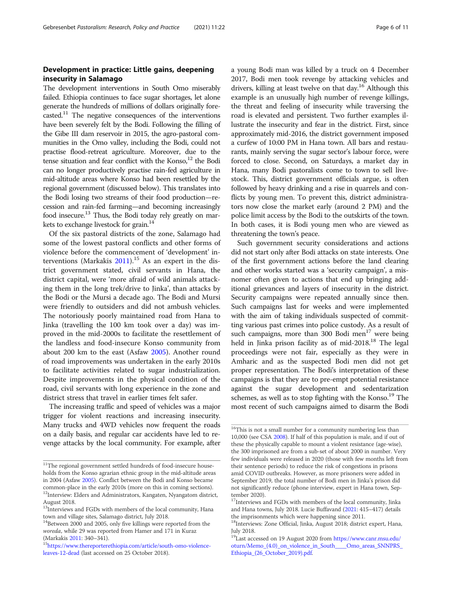# Development in practice: Little gains, deepening insecurity in Salamago

The development interventions in South Omo miserably failed. Ethiopia continues to face sugar shortages, let alone generate the hundreds of millions of dollars originally forecasted.11 The negative consequences of the interventions have been severely felt by the Bodi. Following the filling of the Gibe III dam reservoir in 2015, the agro-pastoral communities in the Omo valley, including the Bodi, could not practise flood-retreat agriculture. Moreover, due to the tense situation and fear conflict with the Konso, $12$  the Bodi can no longer productively practise rain-fed agriculture in mid-altitude areas where Konso had been resettled by the regional government (discussed below). This translates into the Bodi losing two streams of their food production—recession and rain-fed farming—and becoming increasingly food insecure.13 Thus, the Bodi today rely greatly on markets to exchange livestock for grain.<sup>14</sup>

Of the six pastoral districts of the zone, Salamago had some of the lowest pastoral conflicts and other forms of violence before the commencement of 'development' interventions (Markakis  $2011$ ).<sup>15</sup> As an expert in the district government stated, civil servants in Hana, the district capital, were 'more afraid of wild animals attacking them in the long trek/drive to Jinka', than attacks by the Bodi or the Mursi a decade ago. The Bodi and Mursi were friendly to outsiders and did not ambush vehicles. The notoriously poorly maintained road from Hana to Jinka (travelling the 100 km took over a day) was improved in the mid-2000s to facilitate the resettlement of the landless and food-insecure Konso community from about 200 km to the east (Asfaw [2005\)](#page-9-0). Another round of road improvements was undertaken in the early 2010s to facilitate activities related to sugar industrialization. Despite improvements in the physical condition of the road, civil servants with long experience in the zone and district stress that travel in earlier times felt safer.

The increasing traffic and speed of vehicles was a major trigger for violent reactions and increasing insecurity. Many trucks and 4WD vehicles now frequent the roads on a daily basis, and regular car accidents have led to revenge attacks by the local community. For example, after a young Bodi man was killed by a truck on 4 December 2017, Bodi men took revenge by attacking vehicles and drivers, killing at least twelve on that day.16 Although this example is an unusually high number of revenge killings, the threat and feeling of insecurity while traversing the road is elevated and persistent. Two further examples illustrate the insecurity and fear in the district. First, since approximately mid-2016, the district government imposed a curfew of 10:00 PM in Hana town. All bars and restaurants, mainly serving the sugar sector's labour force, were forced to close. Second, on Saturdays, a market day in Hana, many Bodi pastoralists come to town to sell livestock. This, district government officials argue, is often followed by heavy drinking and a rise in quarrels and conflicts by young men. To prevent this, district administrators now close the market early (around 2 PM) and the police limit access by the Bodi to the outskirts of the town. In both cases, it is Bodi young men who are viewed as threatening the town's peace.

Such government security considerations and actions did not start only after Bodi attacks on state interests. One of the first government actions before the land clearing and other works started was a 'security campaign', a misnomer often given to actions that end up bringing additional grievances and layers of insecurity in the district. Security campaigns were repeated annually since then. Such campaigns last for weeks and were implemented with the aim of taking individuals suspected of committing various past crimes into police custody. As a result of such campaigns, more than 300 Bodi men<sup>17</sup> were being held in Jinka prison facility as of mid-2018.<sup>18</sup> The legal proceedings were not fair, especially as they were in Amharic and as the suspected Bodi men did not get proper representation. The Bodi's interpretation of these campaigns is that they are to pre-empt potential resistance against the sugar development and sedentarization schemes, as well as to stop fighting with the Konso.<sup>19</sup> The most recent of such campaigns aimed to disarm the Bodi

<sup>&</sup>lt;sup>11</sup>The regional government settled hundreds of food-insecure households from the Konso agrarian ethnic group in the mid-altitude areas in 2004 (Asfaw [2005\)](#page-9-0). Conflict between the Bodi and Konso became common-place in the early 2010s (more on this in coming sections). <sup>12</sup>Interview: Elders and Administrators, Kangaten, Nyangatom district, August 2018.

<sup>&</sup>lt;sup>13</sup>Interviews and FGDs with members of the local community, Hana town and village sites, Salamago district, July 2018.

<sup>&</sup>lt;sup>14</sup>Between 2000 and 2005, only five killings were reported from the woreda, while 29 was reported from Hamer and 171 in Kuraz

<sup>(</sup>Markakis [2011](#page-10-0): 340–341).<br><sup>15</sup>[https://www.thereporterethiopia.com/article/south-omo-violence](https://www.thereporterethiopia.com/article/south-omo-violence-leaves-12-dead)[leaves-12-dead](https://www.thereporterethiopia.com/article/south-omo-violence-leaves-12-dead) (last accessed on 25 October 2018).

 $^{16}\mathrm{This}$  is not a small number for a community numbering less than 10,000 (see CSA [2008](#page-10-0)). If half of this population is male, and if out of these the physically capable to mount a violent resistance (age-wise), the 300 imprisoned are from a sub-set of about 2000 in number. Very few individuals were released in 2020 (those with few months left from their sentence periods) to reduce the risk of congestions in prisons amid COVID outbreaks. However, as more prisoners were added in September 2019, the total number of Bodi men in Jinka's prison did not significantly reduce (phone interview, expert in Hana town, September 2020).

<sup>&</sup>lt;sup>17</sup>Interviews and FGDs with members of the local community, Jinka and Hana towns, July 2018. Lucie Buffavand [\(2021](#page-10-0): 415–417) details the imprisonments which were happening since 2011.

<sup>&</sup>lt;sup>18</sup>Interviews: Zone Official, Jinka, August 2018; district expert, Hana, July 2018.

<sup>19</sup>Last accessed on 19 August 2020 from [https://www.canr.msu.edu/](https://www.canr.msu.edu/oturn/Memo_(4.0)_on_violence_in_South____Omo_areas_SNNPRS_Ethiopia_(26_October_2019).pdf) [oturn/Memo\\_\(4.0\)\\_on\\_violence\\_in\\_South\\_\\_\\_\\_Omo\\_areas\\_SNNPRS\\_](https://www.canr.msu.edu/oturn/Memo_(4.0)_on_violence_in_South____Omo_areas_SNNPRS_Ethiopia_(26_October_2019).pdf) [Ethiopia\\_\(26\\_October\\_2019\).pdf.](https://www.canr.msu.edu/oturn/Memo_(4.0)_on_violence_in_South____Omo_areas_SNNPRS_Ethiopia_(26_October_2019).pdf)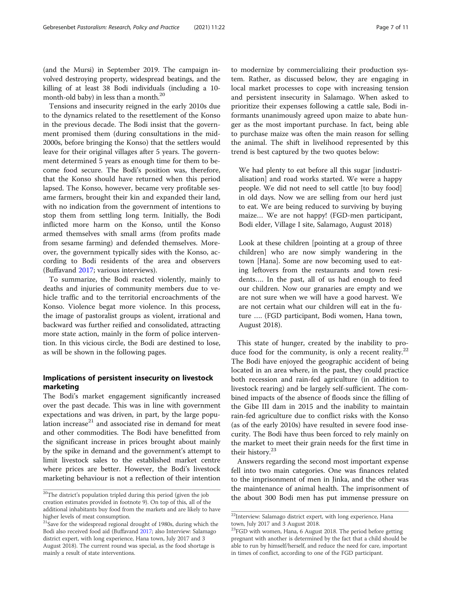<span id="page-6-0"></span>(and the Mursi) in September 2019. The campaign involved destroying property, widespread beatings, and the killing of at least 38 Bodi individuals (including a 10 month-old baby) in less than a month.20

Tensions and insecurity reigned in the early 2010s due to the dynamics related to the resettlement of the Konso in the previous decade. The Bodi insist that the government promised them (during consultations in the mid-2000s, before bringing the Konso) that the settlers would leave for their original villages after 5 years. The government determined 5 years as enough time for them to become food secure. The Bodi's position was, therefore, that the Konso should have returned when this period lapsed. The Konso, however, became very profitable sesame farmers, brought their kin and expanded their land, with no indication from the government of intentions to stop them from settling long term. Initially, the Bodi inflicted more harm on the Konso, until the Konso armed themselves with small arms (from profits made from sesame farming) and defended themselves. Moreover, the government typically sides with the Konso, according to Bodi residents of the area and observers (Buffavand [2017](#page-10-0); various interviews).

To summarize, the Bodi reacted violently, mainly to deaths and injuries of community members due to vehicle traffic and to the territorial encroachments of the Konso. Violence begat more violence. In this process, the image of pastoralist groups as violent, irrational and backward was further reified and consolidated, attracting more state action, mainly in the form of police intervention. In this vicious circle, the Bodi are destined to lose, as will be shown in the following pages.

# Implications of persistent insecurity on livestock marketing

The Bodi's market engagement significantly increased over the past decade. This was in line with government expectations and was driven, in part, by the large population increase $21$  and associated rise in demand for meat and other commodities. The Bodi have benefitted from the significant increase in prices brought about mainly by the spike in demand and the government's attempt to limit livestock sales to the established market centre where prices are better. However, the Bodi's livestock marketing behaviour is not a reflection of their intention

to modernize by commercializing their production system. Rather, as discussed below, they are engaging in local market processes to cope with increasing tension and persistent insecurity in Salamago. When asked to prioritize their expenses following a cattle sale, Bodi informants unanimously agreed upon maize to abate hunger as the most important purchase. In fact, being able to purchase maize was often the main reason for selling the animal. The shift in livelihood represented by this trend is best captured by the two quotes below:

We had plenty to eat before all this sugar [industrialisation] and road works started. We were a happy people. We did not need to sell cattle [to buy food] in old days. Now we are selling from our herd just to eat. We are being reduced to surviving by buying maize… We are not happy! (FGD-men participant, Bodi elder, Village I site, Salamago, August 2018)

Look at these children [pointing at a group of three children] who are now simply wandering in the town [Hana]. Some are now becoming used to eating leftovers from the restaurants and town residents…. In the past, all of us had enough to feed our children. Now our granaries are empty and we are not sure when we will have a good harvest. We are not certain what our children will eat in the future …. (FGD participant, Bodi women, Hana town, August 2018).

This state of hunger, created by the inability to produce food for the community, is only a recent reality. $22$ The Bodi have enjoyed the geographic accident of being located in an area where, in the past, they could practice both recession and rain-fed agriculture (in addition to livestock rearing) and be largely self-sufficient. The combined impacts of the absence of floods since the filling of the Gibe III dam in 2015 and the inability to maintain rain-fed agriculture due to conflict risks with the Konso (as of the early 2010s) have resulted in severe food insecurity. The Bodi have thus been forced to rely mainly on the market to meet their grain needs for the first time in their history.<sup>23</sup>

Answers regarding the second most important expense fell into two main categories. One was finances related to the imprisonment of men in Jinka, and the other was the maintenance of animal health. The imprisonment of <sup>20</sup>The district's population tripled during this period (given the job the about 300 Bodi men has put immense pressure on  $\frac{1}{2}$ 

creation estimates provided in footnote 9). On top of this, all of the additional inhabitants buy food from the markets and are likely to have higher levels of meat consumption.

 $21$ Save for the widespread regional drought of 1980s, during which the Bodi also received food aid (Buffavand [2017](#page-10-0); also Interview: Salamago district expert, with long experience, Hana town, July 2017 and 3 August 2018). The current round was special, as the food shortage is mainly a result of state interventions.

 $^{22}$ Interview: Salamago district expert, with long experience, Hana town, July 2017 and 3 August 2018.

<sup>&</sup>lt;sup>23</sup>FGD with women, Hana, 6 August 2018. The period before getting pregnant with another is determined by the fact that a child should be able to run by himself/herself, and reduce the need for care, important in times of conflict, according to one of the FGD participant.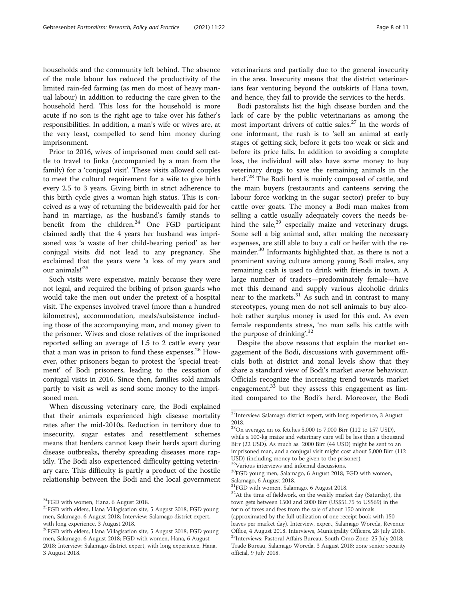households and the community left behind. The absence of the male labour has reduced the productivity of the limited rain-fed farming (as men do most of heavy manual labour) in addition to reducing the care given to the household herd. This loss for the household is more acute if no son is the right age to take over his father's responsibilities. In addition, a man's wife or wives are, at the very least, compelled to send him money during imprisonment.

Prior to 2016, wives of imprisoned men could sell cattle to travel to Jinka (accompanied by a man from the family) for a 'conjugal visit'. These visits allowed couples to meet the cultural requirement for a wife to give birth every 2.5 to 3 years. Giving birth in strict adherence to this birth cycle gives a woman high status. This is conceived as a way of returning the bridewealth paid for her hand in marriage, as the husband's family stands to benefit from the children.<sup>24</sup> One FGD participant claimed sadly that the 4 years her husband was imprisoned was 'a waste of her child-bearing period' as her conjugal visits did not lead to any pregnancy. She exclaimed that the years were 'a loss of my years and our animals!' 25

Such visits were expensive, mainly because they were not legal, and required the bribing of prison guards who would take the men out under the pretext of a hospital visit. The expenses involved travel (more than a hundred kilometres), accommodation, meals/subsistence including those of the accompanying man, and money given to the prisoner. Wives and close relatives of the imprisoned reported selling an average of 1.5 to 2 cattle every year that a man was in prison to fund these expenses. $26$  However, other prisoners began to protest the 'special treatment' of Bodi prisoners, leading to the cessation of conjugal visits in 2016. Since then, families sold animals partly to visit as well as send some money to the imprisoned men.

When discussing veterinary care, the Bodi explained that their animals experienced high disease mortality rates after the mid-2010s. Reduction in territory due to insecurity, sugar estates and resettlement schemes means that herders cannot keep their herds apart during disease outbreaks, thereby spreading diseases more rapidly. The Bodi also experienced difficulty getting veterinary care. This difficulty is partly a product of the hostile relationship between the Bodi and the local government veterinarians and partially due to the general insecurity in the area. Insecurity means that the district veterinarians fear venturing beyond the outskirts of Hana town, and hence, they fail to provide the services to the herds.

Bodi pastoralists list the high disease burden and the lack of care by the public veterinarians as among the most important drivers of cattle sales.<sup>27</sup> In the words of one informant, the rush is to 'sell an animal at early stages of getting sick, before it gets too weak or sick and before its price falls. In addition to avoiding a complete loss, the individual will also have some money to buy veterinary drugs to save the remaining animals in the herd'. <sup>28</sup> The Bodi herd is mainly composed of cattle, and the main buyers (restaurants and canteens serving the labour force working in the sugar sector) prefer to buy cattle over goats. The money a Bodi man makes from selling a cattle usually adequately covers the needs behind the sale, $29$  especially maize and veterinary drugs. Some sell a big animal and, after making the necessary expenses, are still able to buy a calf or heifer with the remainder.<sup>30</sup> Informants highlighted that, as there is not a prominent saving culture among young Bodi males, any remaining cash is used to drink with friends in town. A large number of traders—predominately female—have met this demand and supply various alcoholic drinks near to the markets. $31$  As such and in contrast to many stereotypes, young men do not sell animals to buy alcohol: rather surplus money is used for this end. As even female respondents stress, 'no man sells his cattle with the purpose of drinking'.<sup>32</sup>

Despite the above reasons that explain the market engagement of the Bodi, discussions with government officials both at district and zonal levels show that they share a standard view of Bodi's market averse behaviour. Officials recognize the increasing trend towards market engagement, $33$  but they assess this engagement as limited compared to the Bodi's herd. Moreover, the Bodi

<sup>29</sup>Various interviews and informal discussions.

<sup>&</sup>lt;sup>24</sup>FGD with women, Hana, 6 August 2018.

<sup>&</sup>lt;sup>25</sup>FGD with elders, Hana Villagisation site, 5 August 2018; FGD young men, Salamago, 6 August 2018; Interview: Salamago district expert, with long experience, 3 August 2018.

<sup>26</sup>FGD with elders, Hana Villagisation site, 5 August 2018; FGD young men, Salamago, 6 August 2018; FGD with women, Hana, 6 August 2018; Interview: Salamago district expert, with long experience, Hana, 3 August 2018.

 $^{27}\!$  Interview: Salamago district expert, with long experience, 3 August 2018.

 $^{28}$ On average, an ox fetches 5,000 to 7,000 Birr (112 to 157 USD), while a 100-kg maize and veterinary care will be less than a thousand Birr (22 USD). As much as 2000 Birr (44 USD) might be sent to an imprisoned man, and a conjugal visit might cost about 5,000 Birr (112 USD) (including money to be given to the prisoner).

<sup>30</sup>FGD young men, Salamago, 6 August 2018; FGD with women, Salamago, 6 August 2018.

<sup>&</sup>lt;sup>31</sup>FGD with women, Salamago, 6 August 2018.

<sup>&</sup>lt;sup>32</sup>At the time of fieldwork, on the weekly market day (Saturday), the town gets between 1500 and 2000 Birr (US\$51.75 to US\$69) in the form of taxes and fees from the sale of about 150 animals (approximated by the full utilization of one receipt book with 150 leaves per market day). Interview, expert, Salamago Woreda, Revenue Office, 4 August 2018. Interviews, Municipality Officers, 28 July 2018. <sup>33</sup>Interviews: Pastoral Affairs Bureau, South Omo Zone, 25 July 2018; Trade Bureau, Salamago Woreda, 3 August 2018; zone senior security official, 9 July 2018.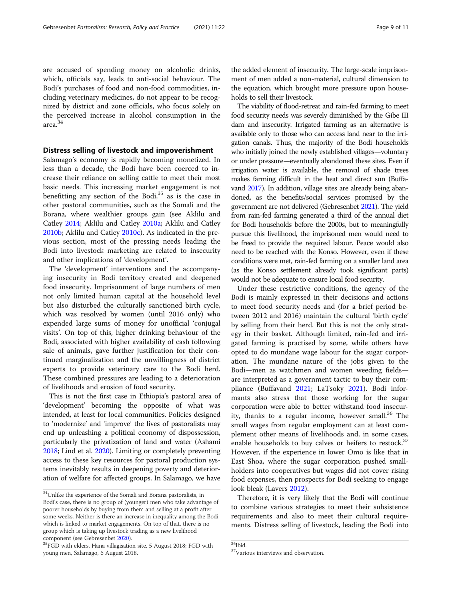are accused of spending money on alcoholic drinks, which, officials say, leads to anti-social behaviour. The Bodi's purchases of food and non-food commodities, including veterinary medicines, do not appear to be recognized by district and zone officials, who focus solely on the perceived increase in alcohol consumption in the area.<sup>34</sup>

# Distress selling of livestock and impoverishment

Salamago's economy is rapidly becoming monetized. In less than a decade, the Bodi have been coerced to increase their reliance on selling cattle to meet their most basic needs. This increasing market engagement is not benefitting any section of the Bodi, $35$  as is the case in other pastoral communities, such as the Somali and the Borana, where wealthier groups gain (see Aklilu and Catley [2014;](#page-9-0) Aklilu and Catley [2010a;](#page-9-0) Aklilu and Catley [2010b](#page-9-0); Aklilu and Catley [2010c\)](#page-9-0). As indicated in the previous section, most of the pressing needs leading the Bodi into livestock marketing are related to insecurity and other implications of 'development'.

The 'development' interventions and the accompanying insecurity in Bodi territory created and deepened food insecurity. Imprisonment of large numbers of men not only limited human capital at the household level but also disturbed the culturally sanctioned birth cycle, which was resolved by women (until 2016 only) who expended large sums of money for unofficial 'conjugal visits'. On top of this, higher drinking behaviour of the Bodi, associated with higher availability of cash following sale of animals, gave further justification for their continued marginalization and the unwillingness of district experts to provide veterinary care to the Bodi herd. These combined pressures are leading to a deterioration of livelihoods and erosion of food security.

This is not the first case in Ethiopia's pastoral area of 'development' becoming the opposite of what was intended, at least for local communities. Policies designed to 'modernize' and 'improve' the lives of pastoralists may end up unleashing a political economy of dispossession, particularly the privatization of land and water (Ashami [2018;](#page-9-0) Lind et al. [2020](#page-10-0)). Limiting or completely preventing access to these key resources for pastoral production systems inevitably results in deepening poverty and deterioration of welfare for affected groups. In Salamago, we have

the added element of insecurity. The large-scale imprisonment of men added a non-material, cultural dimension to the equation, which brought more pressure upon households to sell their livestock.

The viability of flood-retreat and rain-fed farming to meet food security needs was severely diminished by the Gibe III dam and insecurity. Irrigated farming as an alternative is available only to those who can access land near to the irrigation canals. Thus, the majority of the Bodi households who initially joined the newly established villages—voluntary or under pressure—eventually abandoned these sites. Even if irrigation water is available, the removal of shade trees makes farming difficult in the heat and direct sun (Buffavand [2017\)](#page-10-0). In addition, village sites are already being abandoned, as the benefits/social services promised by the government are not delivered (Gebresenbet [2021\)](#page-10-0). The yield from rain-fed farming generated a third of the annual diet for Bodi households before the 2000s, but to meaningfully pursue this livelihood, the imprisoned men would need to be freed to provide the required labour. Peace would also need to be reached with the Konso. However, even if these conditions were met, rain-fed farming on a smaller land area (as the Konso settlement already took significant parts) would not be adequate to ensure local food security.

Under these restrictive conditions, the agency of the Bodi is mainly expressed in their decisions and actions to meet food security needs and (for a brief period between 2012 and 2016) maintain the cultural 'birth cycle' by selling from their herd. But this is not the only strategy in their basket. Although limited, rain-fed and irrigated farming is practised by some, while others have opted to do mundane wage labour for the sugar corporation. The mundane nature of the jobs given to the Bodi—men as watchmen and women weeding fields are interpreted as a government tactic to buy their com-pliance (Buffavand [2021;](#page-10-0) LaTsoky [2021\)](#page-10-0). Bodi informants also stress that those working for the sugar corporation were able to better withstand food insecurity, thanks to a regular income, however small.<sup>36</sup> The small wages from regular employment can at least complement other means of livelihoods and, in some cases, enable households to buy calves or heifers to restock.<sup>37</sup> However, if the experience in lower Omo is like that in East Shoa, where the sugar corporation pushed smallholders into cooperatives but wages did not cover rising food expenses, then prospects for Bodi seeking to engage look bleak (Lavers [2012\)](#page-10-0).

Therefore, it is very likely that the Bodi will continue to combine various strategies to meet their subsistence requirements and also to meet their cultural requirements. Distress selling of livestock, leading the Bodi into

<sup>34</sup>Unlike the experience of the Somali and Borana pastoralists, in Bodi's case, there is no group of (younger) men who take advantage of poorer households by buying from them and selling at a profit after some weeks. Neither is there an increase in inequality among the Bodi which is linked to market engagements. On top of that, there is no group which is taking up livestock trading as a new livelihood component (see Gebresenbet 2020).

 ${}^{35}$ FGD with elders, Hana villagisation site, 5 August 2018; FGD with young men, Salamago, 6 August 2018.

<sup>36&</sup>lt;sub>Ibid.</sub>

<sup>37</sup>Various interviews and observation.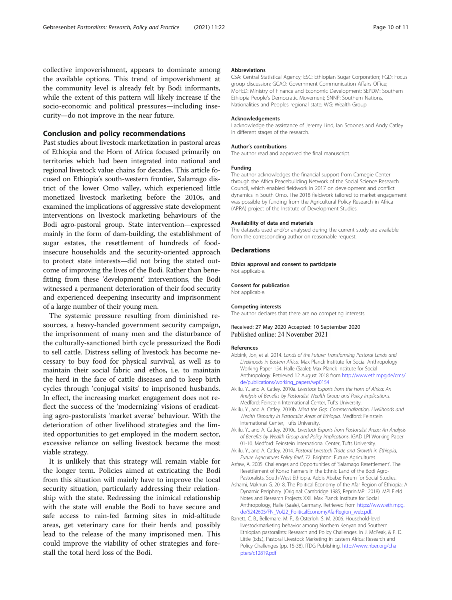<span id="page-9-0"></span>collective impoverishment, appears to dominate among the available options. This trend of impoverishment at the community level is already felt by Bodi informants, while the extent of this pattern will likely increase if the socio-economic and political pressures—including insecurity—do not improve in the near future.

## Conclusion and policy recommendations

Past studies about livestock marketization in pastoral areas of Ethiopia and the Horn of Africa focused primarily on territories which had been integrated into national and regional livestock value chains for decades. This article focused on Ethiopia's south-western frontier, Salamago district of the lower Omo valley, which experienced little monetized livestock marketing before the 2010s, and examined the implications of aggressive state development interventions on livestock marketing behaviours of the Bodi agro-pastoral group. State intervention—expressed mainly in the form of dam-building, the establishment of sugar estates, the resettlement of hundreds of foodinsecure households and the security-oriented approach to protect state interests—did not bring the stated outcome of improving the lives of the Bodi. Rather than benefitting from these 'development' interventions, the Bodi witnessed a permanent deterioration of their food security and experienced deepening insecurity and imprisonment of a large number of their young men.

The systemic pressure resulting from diminished resources, a heavy-handed government security campaign, the imprisonment of many men and the disturbance of the culturally-sanctioned birth cycle pressurized the Bodi to sell cattle. Distress selling of livestock has become necessary to buy food for physical survival, as well as to maintain their social fabric and ethos, i.e. to maintain the herd in the face of cattle diseases and to keep birth cycles through 'conjugal visits' to imprisoned husbands. In effect, the increasing market engagement does not reflect the success of the 'modernizing' visions of eradicating agro-pastoralists 'market averse' behaviour. With the deterioration of other livelihood strategies and the limited opportunities to get employed in the modern sector, excessive reliance on selling livestock became the most viable strategy.

It is unlikely that this strategy will remain viable for the longer term. Policies aimed at extricating the Bodi from this situation will mainly have to improve the local security situation, particularly addressing their relationship with the state. Redressing the inimical relationship with the state will enable the Bodi to have secure and safe access to rain-fed farming sites in mid-altitude areas, get veterinary care for their herds and possibly lead to the release of the many imprisoned men. This could improve the viability of other strategies and forestall the total herd loss of the Bodi.

#### Abbreviations

CSA: Central Statistical Agency; ESC: Ethiopian Sugar Corporation; FGD: Focus group discussion; GCAO: Government Communication Affairs Office; MoFED: Ministry of Finance and Economic Development; SEPDM: Southern Ethiopia People's Democratic Movement; SNNP: Southern Nations, Nationalities and Peoples regional state; WG: Wealth Group

#### Acknowledgements

I acknowledge the assistance of Jeremy Lind, Ian Scoones and Andy Catley in different stages of the research.

#### Author's contributions

The author read and approved the final manuscript.

#### Funding

The author acknowledges the financial support from Carnegie Center through the Africa Peacebuilding Network of the Social Science Research Council, which enabled fieldwork in 2017 on development and conflict dynamics in South Omo. The 2018 fieldwork tailored to market engagement was possible by funding from the Agricultural Policy Research in Africa (APRA) project of the Institute of Development Studies.

#### Availability of data and materials

The datasets used and/or analysed during the current study are available from the corresponding author on reasonable request.

#### **Declarations**

Ethics approval and consent to participate Not applicable.

#### Consent for publication

Not applicable.

#### Competing interests

The author declares that there are no competing interests.

## Received: 27 May 2020 Accepted: 10 September 2020 Published online: 24 November 2021

#### References

- Abbink, Jon, et al. 2014. Lands of the Future: Transforming Pastoral Lands and Livelihoods in Eastern Africa. Max Planck Institute for Social Anthropology Working Paper 154. Halle (Saale): Max Planck Institute for Social Anthropology. Retrieved 12 August 2018 from [http://www.eth.mpg.de/cms/](http://www.eth.mpg.de/cms/de/publications/working_papers/wp0154) [de/publications/working\\_papers/wp0154](http://www.eth.mpg.de/cms/de/publications/working_papers/wp0154)
- Aklilu, Y., and A. Catley. 2010a. Livestock Exports from the Horn of Africa: An Analysis of Benefits by Pastoralist Wealth Group and Policy Implications. Medford: Feinstein International Center, Tufts University.
- Aklilu, Y., and A. Catley. 2010b. Mind the Gap: Commercialization, Livelihoods and Wealth Disparity in Pastoralist Areas of Ethiopia. Medford: Feinstein International Center, Tufts University.
- Aklilu, Y., and A. Catley. 2010c. Livestock Exports from Pastoralist Areas: An Analysis of Benefits by Wealth Group and Policy Implications, IGAD LPI Working Paper 01-10. Medford: Feinstein International Center, Tufts University.
- Aklilu, Y., and A. Catley. 2014. Pastoral Livestock Trade and Growth in Ethiopia, Future Agricultures Policy Brief, 72. Brighton: Future Agricultures.
- Asfaw, A. 2005. Challenges and Opportunities of 'Salamago Resettlement'. The Resettlement of Konso Farmers in the Ethnic Land of the Bodi Agro-Pastoralists, South-West Ethiopia. Addis Ababa: Forum for Social Studies.
- Ashami, Maknun G. 2018. The Political Economy of the Afar Region of Ethiopia: A Dynamic Periphery. (Original: Cambridge 1985; Reprin:MPI: 2018). MPI Field Notes and Research Projects XXII. Max Planck Institute for Social Anthropology, Halle (Saale), Germany. Retrieved from [https://www.eth.mpg.](https://www.eth.mpg.de/5242605/FN_Vol22_PoliticalEconomyAfarRegion_web.pdf) [de/5242605/FN\\_Vol22\\_PoliticalEconomyAfarRegion\\_web.pdf.](https://www.eth.mpg.de/5242605/FN_Vol22_PoliticalEconomyAfarRegion_web.pdf)
- Barrett, C. B., Bellemare, M. F., & Osterloh, S. M. 2006. Household-level livestockmarketing behavior among Northern Kenyan and Southern Ethiopian pastoralists: Research and Policy Challenges. In J. McPeak, & P. D. Little (Eds.), Pastoral Livestock Marketing in Eastern Africa: Research and Policy Challenges (pp. 15-38). ITDG Publishing. [http://www.nber.org/cha](http://www.nber.org/chapters/c12819.pdf) [pters/c12819.pdf](http://www.nber.org/chapters/c12819.pdf)